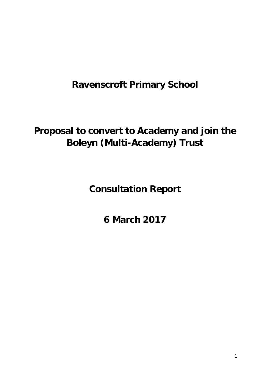# **Ravenscroft Primary School**

# **Proposal to convert to Academy and join the Boleyn (Multi-Academy) Trust**

**Consultation Report** 

**6 March 2017**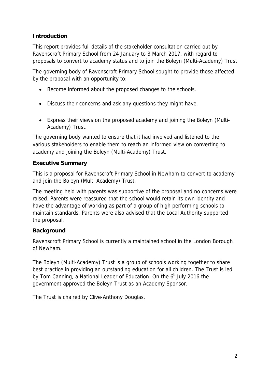# **Introduction**

This report provides full details of the stakeholder consultation carried out by Ravenscroft Primary School from 24 January to 3 March 2017, with regard to proposals to convert to academy status and to join the Boleyn (Multi-Academy) Trust

The governing body of Ravenscroft Primary School sought to provide those affected by the proposal with an opportunity to:

- Become informed about the proposed changes to the schools.
- Discuss their concerns and ask any questions they might have.
- Express their views on the proposed academy and joining the Boleyn (Multi-Academy) Trust.

The governing body wanted to ensure that it had involved and listened to the various stakeholders to enable them to reach an informed view on converting to academy and joining the Boleyn (Multi-Academy) Trust.

# **Executive Summary**

This is a proposal for Ravenscroft Primary School in Newham to convert to academy and join the Boleyn (Multi-Academy) Trust.

The meeting held with parents was supportive of the proposal and no concerns were raised. Parents were reassured that the school would retain its own identity and have the advantage of working as part of a group of high performing schools to maintain standards. Parents were also advised that the Local Authority supported the proposal.

# **Background**

Ravenscroft Primary School is currently a maintained school in the London Borough of Newham.

The Boleyn (Multi-Academy) Trust is a group of schools working together to share best practice in providing an outstanding education for all children. The Trust is led by Tom Canning, a National Leader of Education. On the 6<sup>th</sup> July 2016 the government approved the Boleyn Trust as an Academy Sponsor.

The Trust is chaired by Clive-Anthony Douglas.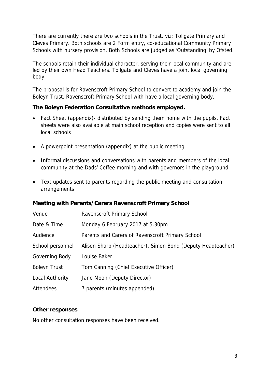There are currently there are two schools in the Trust, viz: Tollgate Primary and Cleves Primary. Both schools are 2 Form entry, co-educational Community Primary Schools with nursery provision. Both Schools are judged as 'Outstanding' by Ofsted.

The schools retain their individual character, serving their local community and are led by their own Head Teachers. Tollgate and Cleves have a joint local governing body.

The proposal is for Ravenscroft Primary School to convert to academy and join the Boleyn Trust. Ravenscroft Primary School with have a local governing body.

# **The Boleyn Federation Consultative methods employed.**

- Fact Sheet (appendix)- distributed by sending them home with the pupils. Fact sheets were also available at main school reception and copies were sent to all local schools
- A powerpoint presentation (appendix) at the public meeting
- Informal discussions and conversations with parents and members of the local community at the Dads' Coffee morning and with governors in the playground
- Text updates sent to parents regarding the public meeting and consultation arrangements

## **Meeting with Parents/Carers Ravenscroft Primary School**

| Venue               | Ravenscroft Primary School                                  |
|---------------------|-------------------------------------------------------------|
| Date & Time         | Monday 6 February 2017 at 5.30pm                            |
| Audience            | Parents and Carers of Ravenscroft Primary School            |
| School personnel    | Alison Sharp (Headteacher), Simon Bond (Deputy Headteacher) |
| Governing Body      | Louise Baker                                                |
| <b>Boleyn Trust</b> | Tom Canning (Chief Executive Officer)                       |
| Local Authority     | Jane Moon (Deputy Director)                                 |
| <b>Attendees</b>    | 7 parents (minutes appended)                                |

## **Other responses**

No other consultation responses have been received.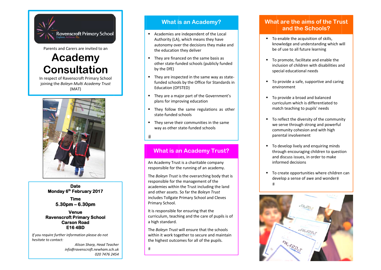

Parents and Carers are invited to an

# **Academy Consultation**

In respect of Ravenscroft Primary School joining the Boleyn Multi Academy Trust  $(MAT)$ 



#### **Date** Monday 6<sup>th</sup> February 2017

**Time**  $5.30$ pm – 6.30pm

#### **Venue Ravenscroft Primary School Carson Road** E164BD

If you require further information please do not hesitate to contact:

> Alison Sharp, Head Teacher info@ravenscroft.newham.sch.uk 020 7476 2454

### **What is an Academy?**

- Academies are independent of the Local Authority (LA), which means they have autonomy over the decisions they make and the education they deliver
- They are financed on the same basis as other state-funded schools (publicly funded by the DfF)
- They are inspected in the same way as statefunded schools by the Office for Standards in Education (OFSTED)
- They are a major part of the Government's plans for improving education
- They follow the same regulations as other state-funded schools
- They serve their communities in the same way as other state-funded schools
- $#$

# **What is an Academy Trust?**

An Academy Trust is a charitable company responsible for the running of an academy.

The Boleyn Trust is the overarching body that is responsible for the management of the academies within the Trust including the land and other assets. So far the Boleyn Trust includes Tollgate Primary School and Cleves Primary School.

It is responsible for ensuring that the curriculum, teaching and the care of pupils is of a high standard.

The Bolevn Trust will ensure that the schools within it work together to secure and maintain the highest outcomes for all of the pupils.

 $#$ 

# What are the aims of the Trust and the Schools?

- To enable the acquisition of skills, knowledge and understanding which will be of use to all future learning
- To promote, facilitate and enable the inclusion of children with disabilities and special educational needs
- To provide a safe, supportive and caring environment
- To provide a broad and balanced  $\blacksquare$ curriculum which is differentiated to match teaching to pupils' needs
- To reflect the diversity of the community we serve through strong and powerful community cohesion and with high parental involvement
- To develop lively and enquiring minds through encouraging children to question and discuss issues, in order to make informed decisions
- To create opportunities where children can  $\blacksquare$ develop a sense of awe and wonder#  $\pm$

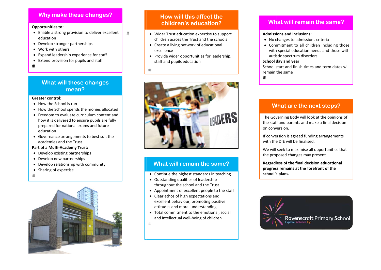## Why make these changes?

#### **Opportunities to:**

- Enable a strong provision to deliver excellent education
- Develop stronger partnerships
- Work with others
- Expand leadership experience for staff
- Extend provision for pupils and staff

#

## **What will these changes** mean?

#### **Greater control:**

- How the School is run
- How the School spends the monies allocated
- Freedom to evaluate curriculum content and how it is delivered to ensure pupils are fully prepared for national exams and future education
- Governance arrangements to best suit the academies and the Trust

#### **Part of a Multi-Academy Trust:**

- Develop existing partnerships
- Develop new partnerships
- Develop relationship with community
- Sharing of expertise
- $#$



## How will this affect the children's education?

- Wider Trust education expertise to support children across the Trust and the schools
- Create a living network of educational excellence
- Provide wider opportunities for leadership. staff and pupils education

#

 $#$ 



# What will remain the same?

- Continue the highest standards in teaching
- Outstanding qualities of leadership throughout the school and the Trust
- Appointment of excellent people to the staff
- Clear ethos of high expectations and excellent behaviour, promoting positive attitudes and moral understanding
- Total commitment to the emotional, social and intellectual well-being of children
- #

### What will remain the same?

#### **Admissions and inclusions:**

- No changes to admissions criteria
- Commitment to all children including those with special education needs and those with autistic spectrum disorders

#### School day and year

School start and finish times and term dates will remain the same

 $#$ 

## What are the next steps?

The Governing Body will look at the opinions of the staff and parents and make a final decision on conversion.

If conversion is agreed funding arrangements with the DfE will be finalised.

We will seek to maximise all opportunities that the proposed changes may present.

Regardless of the final decision educational progress remains at the forefront of the school's plans.

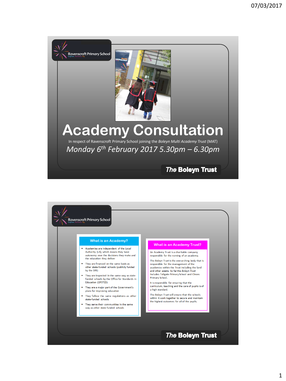

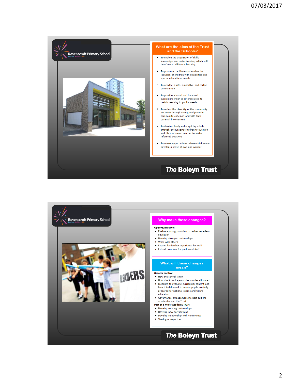

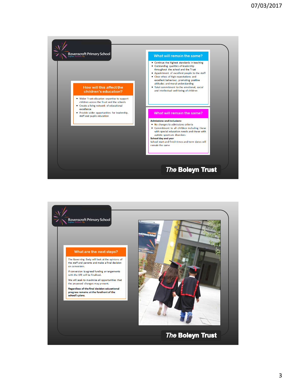



3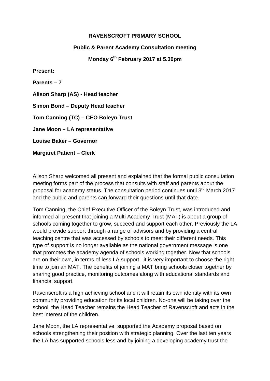## **RAVENSCROFT PRIMARY SCHOOL**

## **Public & Parent Academy Consultation meeting**

**Monday 6th February 2017 at 5.30pm** 

| <b>Present:</b>                     |  |
|-------------------------------------|--|
| Parents – 7                         |  |
| Alison Sharp (AS) - Head teacher    |  |
| Simon Bond – Deputy Head teacher    |  |
| Tom Canning (TC) – CEO Boleyn Trust |  |
| Jane Moon - LA representative       |  |
| Louise Baker - Governor             |  |
| <b>Margaret Patient – Clerk</b>     |  |

Alison Sharp welcomed all present and explained that the formal public consultation meeting forms part of the process that consults with staff and parents about the proposal for academy status. The consultation period continues until  $3<sup>rd</sup>$  March 2017 and the public and parents can forward their questions until that date.

Tom Canning, the Chief Executive Officer of the Boleyn Trust, was introduced and informed all present that joining a Multi Academy Trust (MAT) is about a group of schools coming together to grow, succeed and support each other. Previously the LA would provide support through a range of advisors and by providing a central teaching centre that was accessed by schools to meet their different needs. This type of support is no longer available as the national government message is one that promotes the academy agenda of schools working together. Now that schools are on their own, in terms of less LA support, it is very important to choose the right time to join an MAT. The benefits of joining a MAT bring schools closer together by sharing good practice, monitoring outcomes along with educational standards and financial support.

Ravenscroft is a high achieving school and it will retain its own identity with its own community providing education for its local children. No-one will be taking over the school, the Head Teacher remains the Head Teacher of Ravenscroft and acts in the best interest of the children.

Jane Moon, the LA representative, supported the Academy proposal based on schools strengthening their position with strategic planning. Over the last ten years the LA has supported schools less and by joining a developing academy trust the